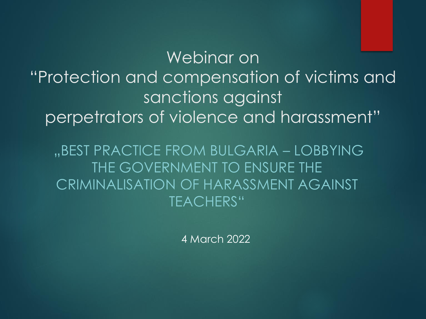Webinar on "Protection and compensation of victims and sanctions against perpetrators of violence and harassment"

"BEST PRACTICE FROM BULGARIA – LOBBYING THE GOVERNMENT TO ENSURE THE CRIMINALISATION OF HARASSMENT AGAINST TEACHERS"

4 March 2022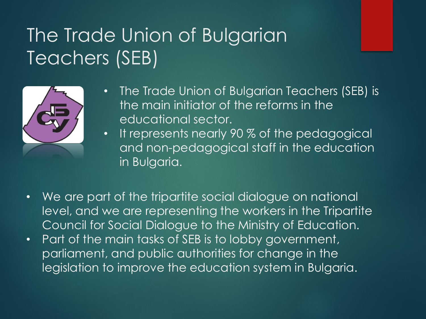### The Trade Union of Bulgarian Teachers (SEB)



- The Trade Union of Bulgarian Teachers (SEB) is the main initiator of the reforms in the educational sector.
- It represents nearly 90 % of the pedagogical and non-pedagogical staff in the education in Bulgaria.
- We are part of the tripartite social dialogue on national level, and we are representing the workers in the Tripartite Council for Social Dialogue to the Ministry of Education.
- Part of the main tasks of SEB is to lobby government, parliament, and public authorities for change in the legislation to improve the education system in Bulgaria.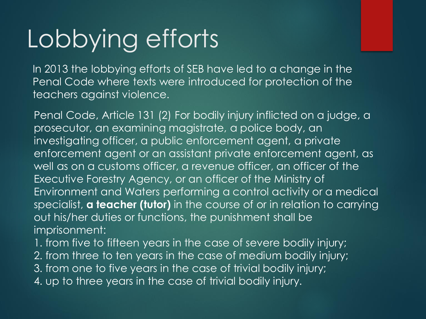## Lobbying efforts

In 2013 the lobbying efforts of SEB have led to a change in the Penal Code where texts were introduced for protection of the teachers against violence.

Penal Code, Article 131 (2) For bodily injury inflicted on a judge, a prosecutor, an examining magistrate, a police body, an investigating officer, a public enforcement agent, a private enforcement agent or an assistant private enforcement agent, as well as on a customs officer, a revenue officer, an officer of the Executive Forestry Agency, or an officer of the Ministry of Environment and Waters performing a control activity or a medical specialist, **a teacher (tutor)** in the course of or in relation to carrying out his/her duties or functions, the punishment shall be imprisonment:

1. from five to fifteen years in the case of severe bodily injury;

- 2. from three to ten years in the case of medium bodily injury;
- 3. from one to five years in the case of trivial bodily injury;
- 4. up to three years in the case of trivial bodily injury.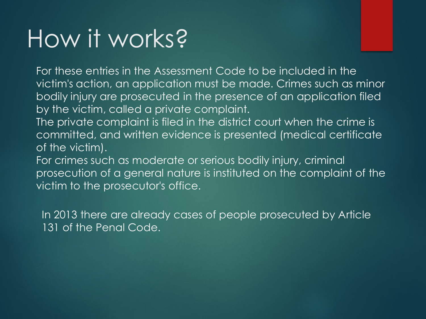## How it works?

For these entries in the Assessment Code to be included in the victim's action, an application must be made. Crimes such as minor bodily injury are prosecuted in the presence of an application filed by the victim, called a private complaint.

- The private complaint is filed in the district court when the crime is committed, and written evidence is presented (medical certificate of the victim).
- For crimes such as moderate or serious bodily injury, criminal prosecution of a general nature is instituted on the complaint of the victim to the prosecutor's office.

In 2013 there are already cases of people prosecuted by Article 131 of the Penal Code.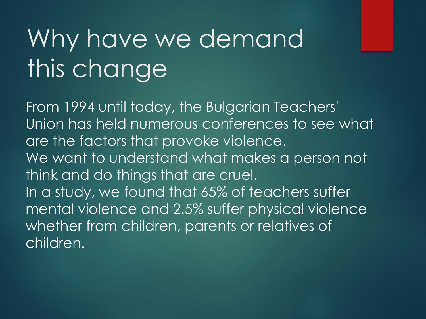# Why have we demand this change

From 1994 until today, the Bulgarian Teachers' Union has held numerous conferences to see what are the factors that provoke violence. We want to understand what makes a person not think and do things that are cruel. In a study, we found that 65% of teachers suffer mental violence and 2.5% suffer physical violence whether from children, parents or relatives of children.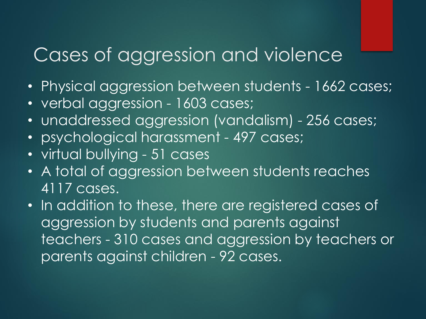#### Cases of aggression and violence

- Physical aggression between students 1662 cases;
- verbal aggression 1603 cases;
- unaddressed aggression (vandalism) 256 cases;
- psychological harassment 497 cases;
- virtual bullying 51 cases
- A total of aggression between students reaches 4117 cases.
- In addition to these, there are registered cases of aggression by students and parents against teachers - 310 cases and aggression by teachers or parents against children - 92 cases.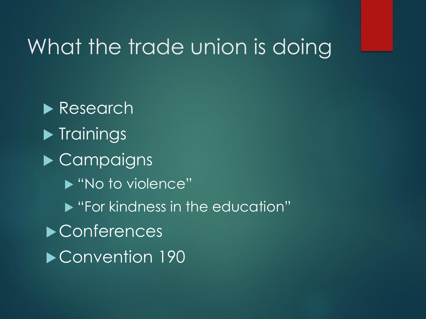#### What the trade union is doing

Research  $\blacktriangleright$  Trainings ▶ Campaigns ▶ "No to violence" **• "For kindness in the education"** ▶ Conferences ▶ Convention 190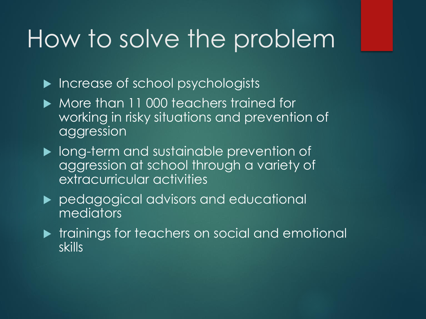### How to solve the problem

- Increase of school psychologists
- More than 11 000 teachers trained for working in risky situations and prevention of aggression
- **Iong-term and sustainable prevention of** aggression at school through a variety of extracurricular activities
- **Pedagogical advisors and educational** mediators
- **The trainings for teachers on social and emotional** skills